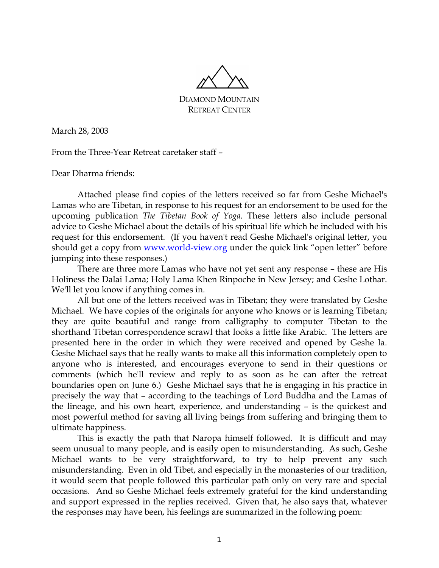

DIAMOND MOUNTAIN RETREAT CENTER

March 28, 2003

From the Three-Year Retreat caretaker staff –

Dear Dharma friends:

 Attached please find copies of the letters received so far from Geshe Michael's Lamas who are Tibetan, in response to his request for an endorsement to be used for the upcoming publication *The Tibetan Book of Yoga.* These letters also include personal advice to Geshe Michael about the details of his spiritual life which he included with his request for this endorsement. (If you haven't read Geshe Michael's original letter, you should get a copy from www.world-view.org under the quick link "open letter" before jumping into these responses.)

 There are three more Lamas who have not yet sent any response – these are His Holiness the Dalai Lama; Holy Lama Khen Rinpoche in New Jersey; and Geshe Lothar. We'll let you know if anything comes in.

 All but one of the letters received was in Tibetan; they were translated by Geshe Michael. We have copies of the originals for anyone who knows or is learning Tibetan; they are quite beautiful and range from calligraphy to computer Tibetan to the shorthand Tibetan correspondence scrawl that looks a little like Arabic. The letters are presented here in the order in which they were received and opened by Geshe la. Geshe Michael says that he really wants to make all this information completely open to anyone who is interested, and encourages everyone to send in their questions or comments (which he'll review and reply to as soon as he can after the retreat boundaries open on June 6.) Geshe Michael says that he is engaging in his practice in precisely the way that – according to the teachings of Lord Buddha and the Lamas of the lineage, and his own heart, experience, and understanding – is the quickest and most powerful method for saving all living beings from suffering and bringing them to ultimate happiness.

 This is exactly the path that Naropa himself followed. It is difficult and may seem unusual to many people, and is easily open to misunderstanding. As such, Geshe Michael wants to be very straightforward, to try to help prevent any such misunderstanding. Even in old Tibet, and especially in the monasteries of our tradition, it would seem that people followed this particular path only on very rare and special occasions. And so Geshe Michael feels extremely grateful for the kind understanding and support expressed in the replies received. Given that, he also says that, whatever the responses may have been, his feelings are summarized in the following poem: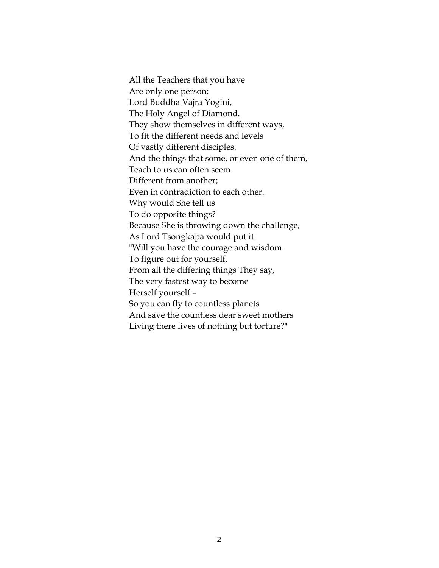All the Teachers that you have Are only one person: Lord Buddha Vajra Yogini, The Holy Angel of Diamond. They show themselves in different ways, To fit the different needs and levels Of vastly different disciples. And the things that some, or even one of them, Teach to us can often seem Different from another; Even in contradiction to each other. Why would She tell us To do opposite things? Because She is throwing down the challenge, As Lord Tsongkapa would put it: "Will you have the courage and wisdom To figure out for yourself, From all the differing things They say, The very fastest way to become Herself yourself – So you can fly to countless planets And save the countless dear sweet mothers Living there lives of nothing but torture?"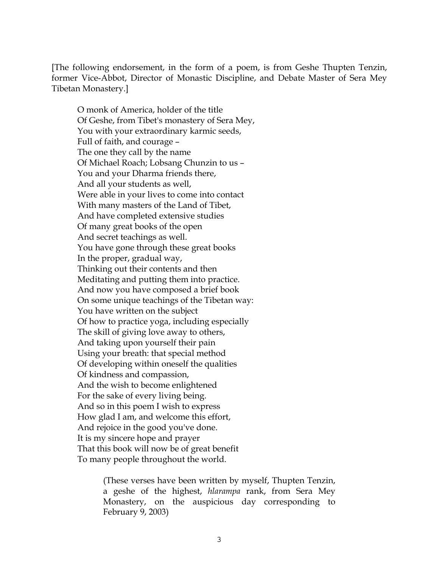[The following endorsement, in the form of a poem, is from Geshe Thupten Tenzin, former Vice-Abbot, Director of Monastic Discipline, and Debate Master of Sera Mey Tibetan Monastery.]

 O monk of America, holder of the title Of Geshe, from Tibet's monastery of Sera Mey, You with your extraordinary karmic seeds, Full of faith, and courage – The one they call by the name Of Michael Roach; Lobsang Chunzin to us – You and your Dharma friends there, And all your students as well, Were able in your lives to come into contact With many masters of the Land of Tibet, And have completed extensive studies Of many great books of the open And secret teachings as well. You have gone through these great books In the proper, gradual way, Thinking out their contents and then Meditating and putting them into practice. And now you have composed a brief book On some unique teachings of the Tibetan way: You have written on the subject Of how to practice yoga, including especially The skill of giving love away to others, And taking upon yourself their pain Using your breath: that special method Of developing within oneself the qualities Of kindness and compassion, And the wish to become enlightened For the sake of every living being. And so in this poem I wish to express How glad I am, and welcome this effort, And rejoice in the good you've done. It is my sincere hope and prayer That this book will now be of great benefit To many people throughout the world.

> (These verses have been written by myself, Thupten Tenzin, a geshe of the highest, *hlarampa* rank, from Sera Mey Monastery, on the auspicious day corresponding to February 9, 2003)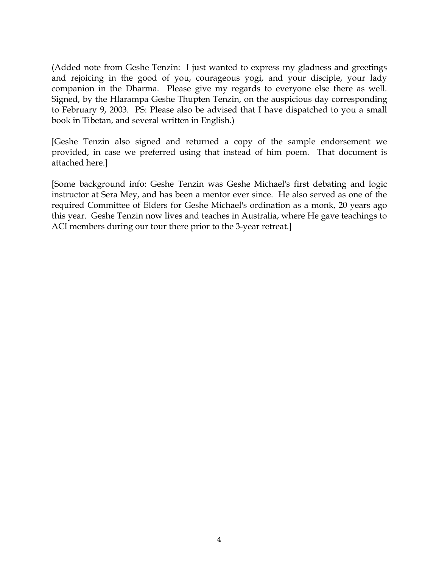(Added note from Geshe Tenzin: I just wanted to express my gladness and greetings and rejoicing in the good of you, courageous yogi, and your disciple, your lady companion in the Dharma. Please give my regards to everyone else there as well. Signed, by the Hlarampa Geshe Thupten Tenzin, on the auspicious day corresponding to February 9, 2003. PS: Please also be advised that I have dispatched to you a small book in Tibetan, and several written in English.)

[Geshe Tenzin also signed and returned a copy of the sample endorsement we provided, in case we preferred using that instead of him poem. That document is attached here.]

[Some background info: Geshe Tenzin was Geshe Michael's first debating and logic instructor at Sera Mey, and has been a mentor ever since. He also served as one of the required Committee of Elders for Geshe Michael's ordination as a monk, 20 years ago this year. Geshe Tenzin now lives and teaches in Australia, where He gave teachings to ACI members during our tour there prior to the 3-year retreat.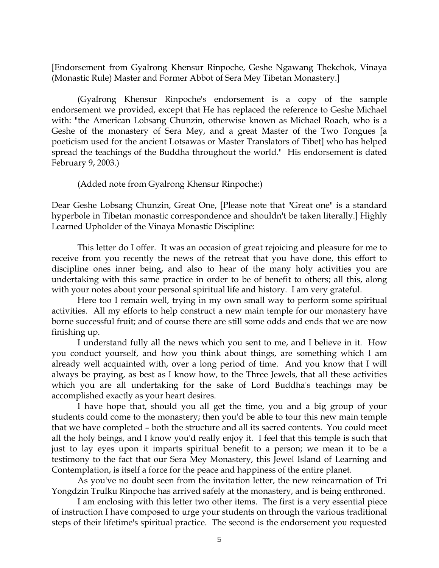[Endorsement from Gyalrong Khensur Rinpoche, Geshe Ngawang Thekchok, Vinaya (Monastic Rule) Master and Former Abbot of Sera Mey Tibetan Monastery.]

 (Gyalrong Khensur Rinpoche's endorsement is a copy of the sample endorsement we provided, except that He has replaced the reference to Geshe Michael with: "the American Lobsang Chunzin, otherwise known as Michael Roach, who is a Geshe of the monastery of Sera Mey, and a great Master of the Two Tongues [a poeticism used for the ancient Lotsawas or Master Translators of Tibet] who has helped spread the teachings of the Buddha throughout the world." His endorsement is dated February 9, 2003.)

(Added note from Gyalrong Khensur Rinpoche:)

Dear Geshe Lobsang Chunzin, Great One, [Please note that "Great one" is a standard hyperbole in Tibetan monastic correspondence and shouldn't be taken literally.] Highly Learned Upholder of the Vinaya Monastic Discipline:

 This letter do I offer. It was an occasion of great rejoicing and pleasure for me to receive from you recently the news of the retreat that you have done, this effort to discipline ones inner being, and also to hear of the many holy activities you are undertaking with this same practice in order to be of benefit to others; all this, along with your notes about your personal spiritual life and history. I am very grateful.

 Here too I remain well, trying in my own small way to perform some spiritual activities. All my efforts to help construct a new main temple for our monastery have borne successful fruit; and of course there are still some odds and ends that we are now finishing up.

 I understand fully all the news which you sent to me, and I believe in it. How you conduct yourself, and how you think about things, are something which I am already well acquainted with, over a long period of time. And you know that I will always be praying, as best as I know how, to the Three Jewels, that all these activities which you are all undertaking for the sake of Lord Buddha's teachings may be accomplished exactly as your heart desires.

 I have hope that, should you all get the time, you and a big group of your students could come to the monastery; then you'd be able to tour this new main temple that we have completed – both the structure and all its sacred contents. You could meet all the holy beings, and I know you'd really enjoy it. I feel that this temple is such that just to lay eyes upon it imparts spiritual benefit to a person; we mean it to be a testimony to the fact that our Sera Mey Monastery, this Jewel Island of Learning and Contemplation, is itself a force for the peace and happiness of the entire planet.

 As you've no doubt seen from the invitation letter, the new reincarnation of Tri Yongdzin Trulku Rinpoche has arrived safely at the monastery, and is being enthroned.

 I am enclosing with this letter two other items. The first is a very essential piece of instruction I have composed to urge your students on through the various traditional steps of their lifetime's spiritual practice. The second is the endorsement you requested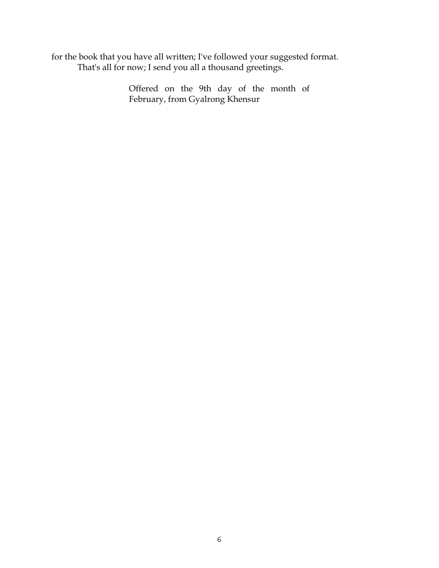for the book that you have all written; I've followed your suggested format. That's all for now; I send you all a thousand greetings.

> Offered on the 9th day of the month of February, from Gyalrong Khensur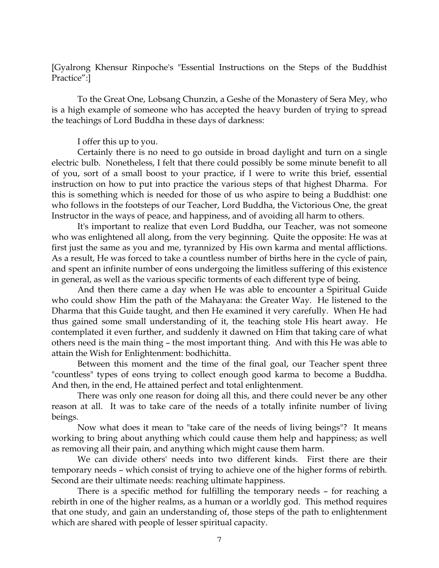[Gyalrong Khensur Rinpoche's "Essential Instructions on the Steps of the Buddhist Practice":]

 To the Great One, Lobsang Chunzin, a Geshe of the Monastery of Sera Mey, who is a high example of someone who has accepted the heavy burden of trying to spread the teachings of Lord Buddha in these days of darkness:

## I offer this up to you.

 Certainly there is no need to go outside in broad daylight and turn on a single electric bulb. Nonetheless, I felt that there could possibly be some minute benefit to all of you, sort of a small boost to your practice, if I were to write this brief, essential instruction on how to put into practice the various steps of that highest Dharma. For this is something which is needed for those of us who aspire to being a Buddhist: one who follows in the footsteps of our Teacher, Lord Buddha, the Victorious One, the great Instructor in the ways of peace, and happiness, and of avoiding all harm to others.

 It's important to realize that even Lord Buddha, our Teacher, was not someone who was enlightened all along, from the very beginning. Quite the opposite: He was at first just the same as you and me, tyrannized by His own karma and mental afflictions. As a result, He was forced to take a countless number of births here in the cycle of pain, and spent an infinite number of eons undergoing the limitless suffering of this existence in general, as well as the various specific torments of each different type of being.

 And then there came a day when He was able to encounter a Spiritual Guide who could show Him the path of the Mahayana: the Greater Way. He listened to the Dharma that this Guide taught, and then He examined it very carefully. When He had thus gained some small understanding of it, the teaching stole His heart away. He contemplated it even further, and suddenly it dawned on Him that taking care of what others need is the main thing – the most important thing. And with this He was able to attain the Wish for Enlightenment: bodhichitta.

 Between this moment and the time of the final goal, our Teacher spent three "countless" types of eons trying to collect enough good karma to become a Buddha. And then, in the end, He attained perfect and total enlightenment.

 There was only one reason for doing all this, and there could never be any other reason at all. It was to take care of the needs of a totally infinite number of living beings.

 Now what does it mean to "take care of the needs of living beings"? It means working to bring about anything which could cause them help and happiness; as well as removing all their pain, and anything which might cause them harm.

 We can divide others' needs into two different kinds. First there are their temporary needs – which consist of trying to achieve one of the higher forms of rebirth. Second are their ultimate needs: reaching ultimate happiness.

 There is a specific method for fulfilling the temporary needs – for reaching a rebirth in one of the higher realms, as a human or a worldly god. This method requires that one study, and gain an understanding of, those steps of the path to enlightenment which are shared with people of lesser spiritual capacity.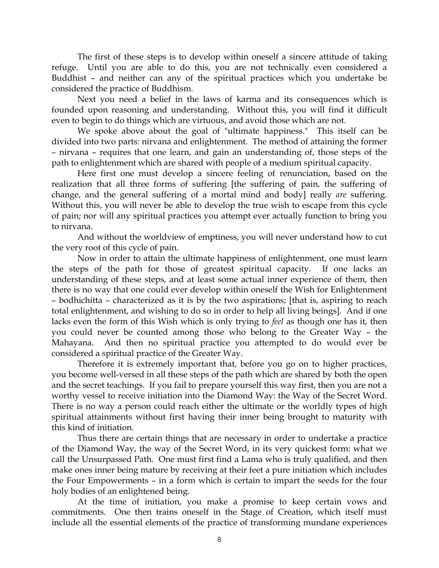The first of these steps is to develop within oneself a sincere attitude of taking refuge. Until you are able to do this, you are not technically even considered a Buddhist – and neither can any of the spiritual practices which you undertake be considered the practice of Buddhism.

 Next you need a belief in the laws of karma and its consequences which is founded upon reasoning and understanding. Without this, you will find it difficult even to begin to do things which are virtuous, and avoid those which are not.

 We spoke above about the goal of "ultimate happiness." This itself can be divided into two parts: nirvana and enlightenment. The method of attaining the former – nirvana – requires that one learn, and gain an understanding of, those steps of the path to enlightenment which are shared with people of a medium spiritual capacity.

 Here first one must develop a sincere feeling of renunciation, based on the realization that all three forms of suffering [the suffering of pain, the suffering of change, and the general suffering of a mortal mind and body] really *are* suffering. Without this, you will never be able to develop the true wish to escape from this cycle of pain; nor will any spiritual practices you attempt ever actually function to bring you to nirvana.

 And without the worldview of emptiness, you will never understand how to cut the very root of this cycle of pain.

 Now in order to attain the ultimate happiness of enlightenment, one must learn the steps of the path for those of greatest spiritual capacity. If one lacks an understanding of these steps, and at least some actual inner experience of them, then there is no way that one could ever develop within oneself the Wish for Enlightenment – bodhichitta – characterized as it is by the two aspirations; [that is, aspiring to reach total enlightenment, and wishing to do so in order to help all living beings]. And if one lacks even the form of this Wish which is only trying to *feel* as though one has it, then you could never be counted among those who belong to the Greater Way – the Mahayana. And then no spiritual practice you attempted to do would ever be considered a spiritual practice of the Greater Way.

 Therefore it is extremely important that, before you go on to higher practices, you become well-versed in all these steps of the path which are shared by both the open and the secret teachings. If you fail to prepare yourself this way first, then you are not a worthy vessel to receive initiation into the Diamond Way: the Way of the Secret Word. There is no way a person could reach either the ultimate or the worldly types of high spiritual attainments without first having their inner being brought to maturity with this kind of initiation.

 Thus there are certain things that are necessary in order to undertake a practice of the Diamond Way, the way of the Secret Word, in its very quickest form: what we call the Unsurpassed Path. One must first find a Lama who is truly qualified, and then make ones inner being mature by receiving at their feet a pure initiation which includes the Four Empowerments – in a form which is certain to impart the seeds for the four holy bodies of an enlightened being.

 At the time of initiation, you make a promise to keep certain vows and commitments. One then trains oneself in the Stage of Creation, which itself must include all the essential elements of the practice of transforming mundane experiences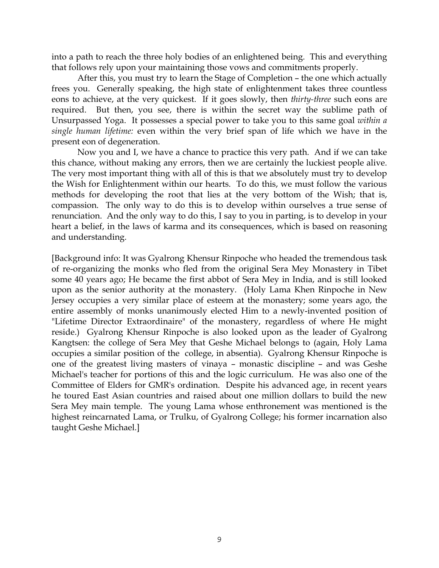into a path to reach the three holy bodies of an enlightened being. This and everything that follows rely upon your maintaining those vows and commitments properly.

 After this, you must try to learn the Stage of Completion – the one which actually frees you. Generally speaking, the high state of enlightenment takes three countless eons to achieve, at the very quickest. If it goes slowly, then *thirty-three* such eons are required. But then, you see, there is within the secret way the sublime path of Unsurpassed Yoga. It possesses a special power to take you to this same goal *within a single human lifetime:* even within the very brief span of life which we have in the present eon of degeneration.

 Now you and I, we have a chance to practice this very path. And if we can take this chance, without making any errors, then we are certainly the luckiest people alive. The very most important thing with all of this is that we absolutely must try to develop the Wish for Enlightenment within our hearts. To do this, we must follow the various methods for developing the root that lies at the very bottom of the Wish; that is, compassion. The only way to do this is to develop within ourselves a true sense of renunciation. And the only way to do this, I say to you in parting, is to develop in your heart a belief, in the laws of karma and its consequences, which is based on reasoning and understanding.

[Background info: It was Gyalrong Khensur Rinpoche who headed the tremendous task of re-organizing the monks who fled from the original Sera Mey Monastery in Tibet some 40 years ago; He became the first abbot of Sera Mey in India, and is still looked upon as the senior authority at the monastery. (Holy Lama Khen Rinpoche in New Jersey occupies a very similar place of esteem at the monastery; some years ago, the entire assembly of monks unanimously elected Him to a newly-invented position of "Lifetime Director Extraordinaire" of the monastery, regardless of where He might reside.) Gyalrong Khensur Rinpoche is also looked upon as the leader of Gyalrong Kangtsen: the college of Sera Mey that Geshe Michael belongs to (again, Holy Lama occupies a similar position of the college, in absentia). Gyalrong Khensur Rinpoche is one of the greatest living masters of vinaya – monastic discipline – and was Geshe Michael's teacher for portions of this and the logic curriculum. He was also one of the Committee of Elders for GMR's ordination. Despite his advanced age, in recent years he toured East Asian countries and raised about one million dollars to build the new Sera Mey main temple. The young Lama whose enthronement was mentioned is the highest reincarnated Lama, or Trulku, of Gyalrong College; his former incarnation also taught Geshe Michael.]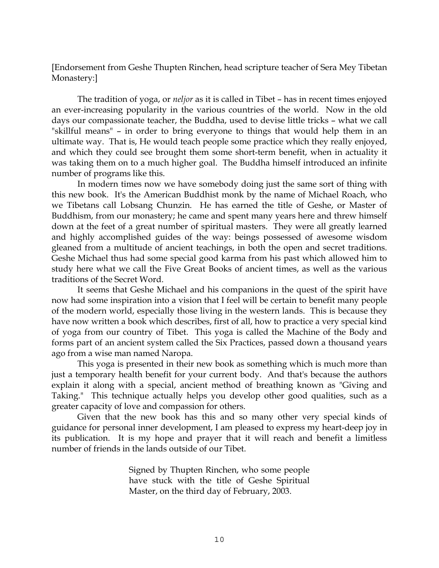[Endorsement from Geshe Thupten Rinchen, head scripture teacher of Sera Mey Tibetan Monastery:]

 The tradition of yoga, or *neljor* as it is called in Tibet – has in recent times enjoyed an ever-increasing popularity in the various countries of the world. Now in the old days our compassionate teacher, the Buddha, used to devise little tricks – what we call "skillful means" – in order to bring everyone to things that would help them in an ultimate way. That is, He would teach people some practice which they really enjoyed, and which they could see brought them some short-term benefit, when in actuality it was taking them on to a much higher goal. The Buddha himself introduced an infinite number of programs like this.

 In modern times now we have somebody doing just the same sort of thing with this new book. It's the American Buddhist monk by the name of Michael Roach, who we Tibetans call Lobsang Chunzin. He has earned the title of Geshe, or Master of Buddhism, from our monastery; he came and spent many years here and threw himself down at the feet of a great number of spiritual masters. They were all greatly learned and highly accomplished guides of the way: beings possessed of awesome wisdom gleaned from a multitude of ancient teachings, in both the open and secret traditions. Geshe Michael thus had some special good karma from his past which allowed him to study here what we call the Five Great Books of ancient times, as well as the various traditions of the Secret Word.

 It seems that Geshe Michael and his companions in the quest of the spirit have now had some inspiration into a vision that I feel will be certain to benefit many people of the modern world, especially those living in the western lands. This is because they have now written a book which describes, first of all, how to practice a very special kind of yoga from our country of Tibet. This yoga is called the Machine of the Body and forms part of an ancient system called the Six Practices, passed down a thousand years ago from a wise man named Naropa.

 This yoga is presented in their new book as something which is much more than just a temporary health benefit for your current body. And that's because the authors explain it along with a special, ancient method of breathing known as "Giving and Taking." This technique actually helps you develop other good qualities, such as a greater capacity of love and compassion for others.

 Given that the new book has this and so many other very special kinds of guidance for personal inner development, I am pleased to express my heart-deep joy in its publication. It is my hope and prayer that it will reach and benefit a limitless number of friends in the lands outside of our Tibet.

> Signed by Thupten Rinchen, who some people have stuck with the title of Geshe Spiritual Master, on the third day of February, 2003.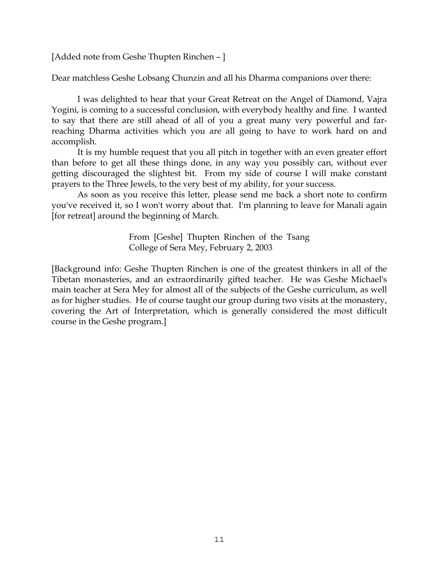[Added note from Geshe Thupten Rinchen – ]

Dear matchless Geshe Lobsang Chunzin and all his Dharma companions over there:

 I was delighted to hear that your Great Retreat on the Angel of Diamond, Vajra Yogini, is coming to a successful conclusion, with everybody healthy and fine. I wanted to say that there are still ahead of all of you a great many very powerful and farreaching Dharma activities which you are all going to have to work hard on and accomplish.

 It is my humble request that you all pitch in together with an even greater effort than before to get all these things done, in any way you possibly can, without ever getting discouraged the slightest bit. From my side of course I will make constant prayers to the Three Jewels, to the very best of my ability, for your success.

 As soon as you receive this letter, please send me back a short note to confirm you've received it, so I won't worry about that. I'm planning to leave for Manali again [for retreat] around the beginning of March.

> From [Geshe] Thupten Rinchen of the Tsang College of Sera Mey, February 2, 2003

[Background info: Geshe Thupten Rinchen is one of the greatest thinkers in all of the Tibetan monasteries, and an extraordinarily gifted teacher. He was Geshe Michael's main teacher at Sera Mey for almost all of the subjects of the Geshe curriculum, as well as for higher studies. He of course taught our group during two visits at the monastery, covering the Art of Interpretation, which is generally considered the most difficult course in the Geshe program.]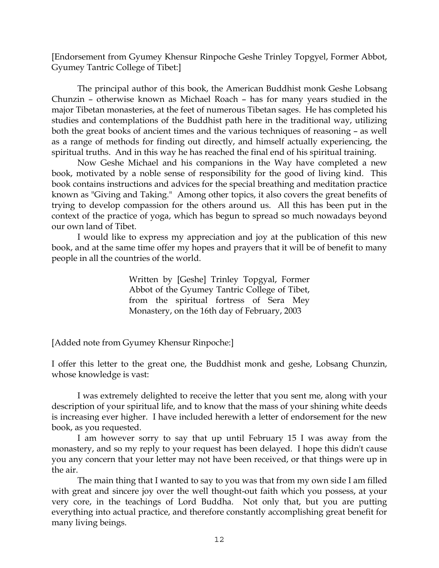[Endorsement from Gyumey Khensur Rinpoche Geshe Trinley Topgyel, Former Abbot, Gyumey Tantric College of Tibet:]

 The principal author of this book, the American Buddhist monk Geshe Lobsang Chunzin – otherwise known as Michael Roach – has for many years studied in the major Tibetan monasteries, at the feet of numerous Tibetan sages. He has completed his studies and contemplations of the Buddhist path here in the traditional way, utilizing both the great books of ancient times and the various techniques of reasoning – as well as a range of methods for finding out directly, and himself actually experiencing, the spiritual truths. And in this way he has reached the final end of his spiritual training.

 Now Geshe Michael and his companions in the Way have completed a new book, motivated by a noble sense of responsibility for the good of living kind. This book contains instructions and advices for the special breathing and meditation practice known as "Giving and Taking." Among other topics, it also covers the great benefits of trying to develop compassion for the others around us. All this has been put in the context of the practice of yoga, which has begun to spread so much nowadays beyond our own land of Tibet.

 I would like to express my appreciation and joy at the publication of this new book, and at the same time offer my hopes and prayers that it will be of benefit to many people in all the countries of the world.

> Written by [Geshe] Trinley Topgyal, Former Abbot of the Gyumey Tantric College of Tibet, from the spiritual fortress of Sera Mey Monastery, on the 16th day of February, 2003

[Added note from Gyumey Khensur Rinpoche:]

I offer this letter to the great one, the Buddhist monk and geshe, Lobsang Chunzin, whose knowledge is vast:

 I was extremely delighted to receive the letter that you sent me, along with your description of your spiritual life, and to know that the mass of your shining white deeds is increasing ever higher. I have included herewith a letter of endorsement for the new book, as you requested.

 I am however sorry to say that up until February 15 I was away from the monastery, and so my reply to your request has been delayed. I hope this didn't cause you any concern that your letter may not have been received, or that things were up in the air.

 The main thing that I wanted to say to you was that from my own side I am filled with great and sincere joy over the well thought-out faith which you possess, at your very core, in the teachings of Lord Buddha. Not only that, but you are putting everything into actual practice, and therefore constantly accomplishing great benefit for many living beings.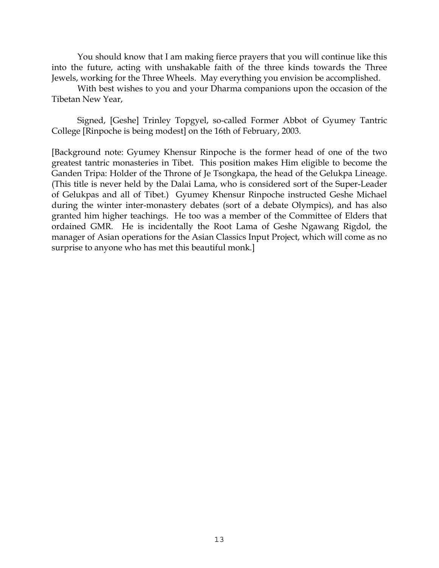You should know that I am making fierce prayers that you will continue like this into the future, acting with unshakable faith of the three kinds towards the Three Jewels, working for the Three Wheels. May everything you envision be accomplished.

 With best wishes to you and your Dharma companions upon the occasion of the Tibetan New Year,

 Signed, [Geshe] Trinley Topgyel, so-called Former Abbot of Gyumey Tantric College [Rinpoche is being modest] on the 16th of February, 2003.

[Background note: Gyumey Khensur Rinpoche is the former head of one of the two greatest tantric monasteries in Tibet. This position makes Him eligible to become the Ganden Tripa: Holder of the Throne of Je Tsongkapa, the head of the Gelukpa Lineage. (This title is never held by the Dalai Lama, who is considered sort of the Super-Leader of Gelukpas and all of Tibet.) Gyumey Khensur Rinpoche instructed Geshe Michael during the winter inter-monastery debates (sort of a debate Olympics), and has also granted him higher teachings. He too was a member of the Committee of Elders that ordained GMR. He is incidentally the Root Lama of Geshe Ngawang Rigdol, the manager of Asian operations for the Asian Classics Input Project, which will come as no surprise to anyone who has met this beautiful monk.]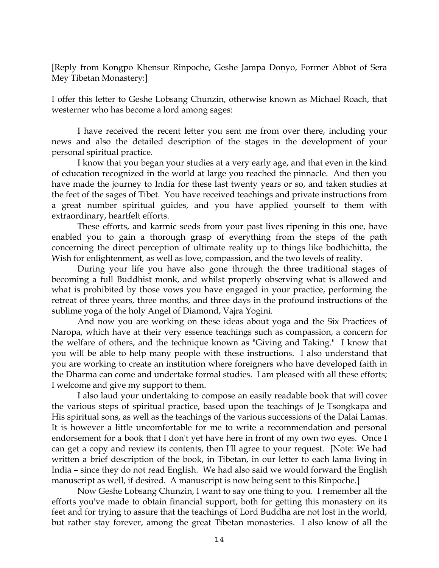[Reply from Kongpo Khensur Rinpoche, Geshe Jampa Donyo, Former Abbot of Sera Mey Tibetan Monastery:]

I offer this letter to Geshe Lobsang Chunzin, otherwise known as Michael Roach, that westerner who has become a lord among sages:

 I have received the recent letter you sent me from over there, including your news and also the detailed description of the stages in the development of your personal spiritual practice.

 I know that you began your studies at a very early age, and that even in the kind of education recognized in the world at large you reached the pinnacle. And then you have made the journey to India for these last twenty years or so, and taken studies at the feet of the sages of Tibet. You have received teachings and private instructions from a great number spiritual guides, and you have applied yourself to them with extraordinary, heartfelt efforts.

 These efforts, and karmic seeds from your past lives ripening in this one, have enabled you to gain a thorough grasp of everything from the steps of the path concerning the direct perception of ultimate reality up to things like bodhichitta, the Wish for enlightenment, as well as love, compassion, and the two levels of reality.

 During your life you have also gone through the three traditional stages of becoming a full Buddhist monk, and whilst properly observing what is allowed and what is prohibited by those vows you have engaged in your practice, performing the retreat of three years, three months, and three days in the profound instructions of the sublime yoga of the holy Angel of Diamond, Vajra Yogini.

 And now you are working on these ideas about yoga and the Six Practices of Naropa, which have at their very essence teachings such as compassion, a concern for the welfare of others, and the technique known as "Giving and Taking." I know that you will be able to help many people with these instructions. I also understand that you are working to create an institution where foreigners who have developed faith in the Dharma can come and undertake formal studies. I am pleased with all these efforts; I welcome and give my support to them.

 I also laud your undertaking to compose an easily readable book that will cover the various steps of spiritual practice, based upon the teachings of Je Tsongkapa and His spiritual sons, as well as the teachings of the various successions of the Dalai Lamas. It is however a little uncomfortable for me to write a recommendation and personal endorsement for a book that I don't yet have here in front of my own two eyes. Once I can get a copy and review its contents, then I'll agree to your request. [Note: We had written a brief description of the book, in Tibetan, in our letter to each lama living in India – since they do not read English. We had also said we would forward the English manuscript as well, if desired. A manuscript is now being sent to this Rinpoche.]

 Now Geshe Lobsang Chunzin, I want to say one thing to you. I remember all the efforts you've made to obtain financial support, both for getting this monastery on its feet and for trying to assure that the teachings of Lord Buddha are not lost in the world, but rather stay forever, among the great Tibetan monasteries. I also know of all the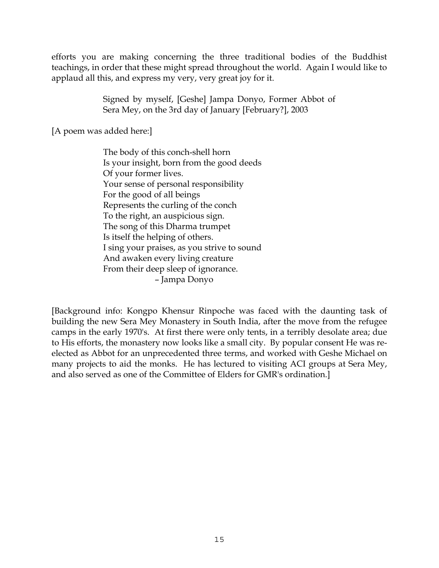efforts you are making concerning the three traditional bodies of the Buddhist teachings, in order that these might spread throughout the world. Again I would like to applaud all this, and express my very, very great joy for it.

> Signed by myself, [Geshe] Jampa Donyo, Former Abbot of Sera Mey, on the 3rd day of January [February?], 2003

[A poem was added here:]

The body of this conch-shell horn Is your insight, born from the good deeds Of your former lives. Your sense of personal responsibility For the good of all beings Represents the curling of the conch To the right, an auspicious sign. The song of this Dharma trumpet Is itself the helping of others. I sing your praises, as you strive to sound And awaken every living creature From their deep sleep of ignorance. – Jampa Donyo

[Background info: Kongpo Khensur Rinpoche was faced with the daunting task of building the new Sera Mey Monastery in South India, after the move from the refugee camps in the early 1970's. At first there were only tents, in a terribly desolate area; due to His efforts, the monastery now looks like a small city. By popular consent He was reelected as Abbot for an unprecedented three terms, and worked with Geshe Michael on many projects to aid the monks. He has lectured to visiting ACI groups at Sera Mey, and also served as one of the Committee of Elders for GMR's ordination.]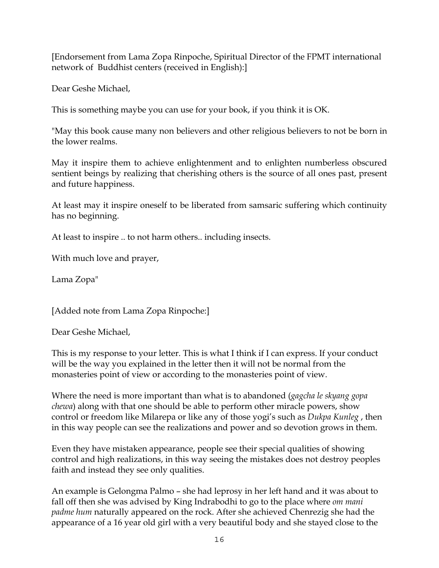[Endorsement from Lama Zopa Rinpoche, Spiritual Director of the FPMT international network of Buddhist centers (received in English):]

Dear Geshe Michael,

This is something maybe you can use for your book, if you think it is OK.

"May this book cause many non believers and other religious believers to not be born in the lower realms.

May it inspire them to achieve enlightenment and to enlighten numberless obscured sentient beings by realizing that cherishing others is the source of all ones past, present and future happiness.

At least may it inspire oneself to be liberated from samsaric suffering which continuity has no beginning.

At least to inspire .. to not harm others.. including insects.

With much love and prayer,

Lama Zopa"

[Added note from Lama Zopa Rinpoche:]

Dear Geshe Michael,

This is my response to your letter. This is what I think if I can express. If your conduct will be the way you explained in the letter then it will not be normal from the monasteries point of view or according to the monasteries point of view.

Where the need is more important than what is to abandoned (*gagcha le skyang gopa chewa*) along with that one should be able to perform other miracle powers, show control or freedom like Milarepa or like any of those yogi's such as *Dukpa Kunleg* , then in this way people can see the realizations and power and so devotion grows in them.

Even they have mistaken appearance, people see their special qualities of showing control and high realizations, in this way seeing the mistakes does not destroy peoples faith and instead they see only qualities.

An example is Gelongma Palmo – she had leprosy in her left hand and it was about to fall off then she was advised by King Indrabodhi to go to the place where *om mani padme hum* naturally appeared on the rock. After she achieved Chenrezig she had the appearance of a 16 year old girl with a very beautiful body and she stayed close to the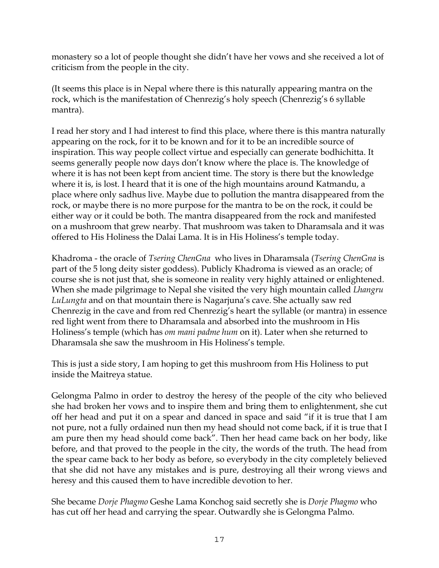monastery so a lot of people thought she didn't have her vows and she received a lot of criticism from the people in the city.

(It seems this place is in Nepal where there is this naturally appearing mantra on the rock, which is the manifestation of Chenrezig's holy speech (Chenrezig's 6 syllable mantra).

I read her story and I had interest to find this place, where there is this mantra naturally appearing on the rock, for it to be known and for it to be an incredible source of inspiration. This way people collect virtue and especially can generate bodhichitta. It seems generally people now days don't know where the place is. The knowledge of where it is has not been kept from ancient time. The story is there but the knowledge where it is, is lost. I heard that it is one of the high mountains around Katmandu, a place where only sadhus live. Maybe due to pollution the mantra disappeared from the rock, or maybe there is no more purpose for the mantra to be on the rock, it could be either way or it could be both. The mantra disappeared from the rock and manifested on a mushroom that grew nearby. That mushroom was taken to Dharamsala and it was offered to His Holiness the Dalai Lama. It is in His Holiness's temple today.

Khadroma - the oracle of *Tsering ChenGna* who lives in Dharamsala (*Tsering ChenGna* is part of the 5 long deity sister goddess). Publicly Khadroma is viewed as an oracle; of course she is not just that, she is someone in reality very highly attained or enlightened. When she made pilgrimage to Nepal she visited the very high mountain called *Lhangru LuLungta* and on that mountain there is Nagarjuna's cave. She actually saw red Chenrezig in the cave and from red Chenrezig's heart the syllable (or mantra) in essence red light went from there to Dharamsala and absorbed into the mushroom in His Holiness's temple (which has *om mani padme hum* on it). Later when she returned to Dharamsala she saw the mushroom in His Holiness's temple.

This is just a side story, I am hoping to get this mushroom from His Holiness to put inside the Maitreya statue.

Gelongma Palmo in order to destroy the heresy of the people of the city who believed she had broken her vows and to inspire them and bring them to enlightenment, she cut off her head and put it on a spear and danced in space and said "if it is true that I am not pure, not a fully ordained nun then my head should not come back, if it is true that I am pure then my head should come back". Then her head came back on her body, like before, and that proved to the people in the city, the words of the truth. The head from the spear came back to her body as before, so everybody in the city completely believed that she did not have any mistakes and is pure, destroying all their wrong views and heresy and this caused them to have incredible devotion to her.

She became *Dorje Phagmo* Geshe Lama Konchog said secretly she is *Dorje Phagmo* who has cut off her head and carrying the spear. Outwardly she is Gelongma Palmo.